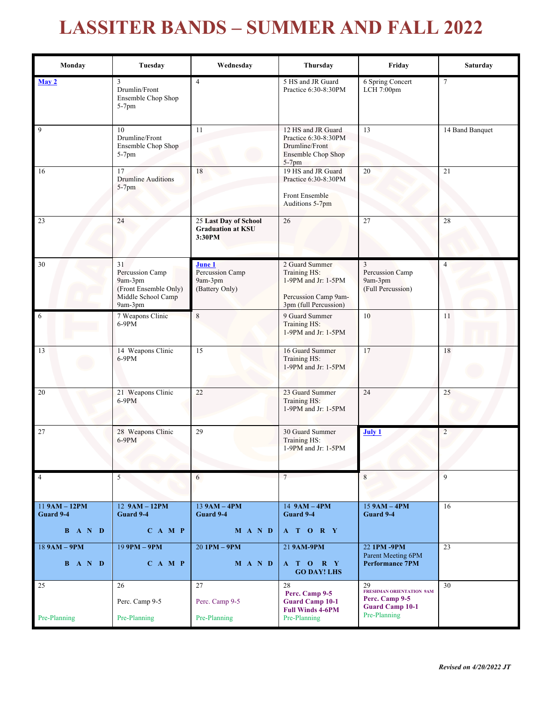## **LASSITER BANDS – SUMMER AND FALL 2022**

| Monday                                                                           | Tuesday                                                                                    | Wednesday                                                   | Thursday                                                                                               | Friday                                                                                     | Saturday        |
|----------------------------------------------------------------------------------|--------------------------------------------------------------------------------------------|-------------------------------------------------------------|--------------------------------------------------------------------------------------------------------|--------------------------------------------------------------------------------------------|-----------------|
| May 2                                                                            | 3<br>Drumlin/Front<br>Ensemble Chop Shop<br>$5-7$ pm                                       | $\overline{4}$                                              | 5 HS and JR Guard<br>Practice 6:30-8:30PM                                                              | 6 Spring Concert<br>LCH 7:00pm                                                             | $\tau$          |
| 9                                                                                | 10<br>Drumline/Front<br>Ensemble Chop Shop<br>$5-7$ pm                                     | 11                                                          | 12 HS and JR Guard<br>Practice 6:30-8:30PM<br>Drumline/Front<br><b>Ensemble Chop Shop</b><br>$5-7$ pm  | 13                                                                                         | 14 Band Banquet |
| 16                                                                               | 17<br><b>Drumline Auditions</b><br>$5-7$ pm                                                | 18                                                          | 19 HS and JR Guard<br>Practice 6:30-8:30PM<br>Front Ensemble<br>Auditions 5-7pm                        | 20                                                                                         | 21              |
| 23                                                                               | 24                                                                                         | 25 Last Day of School<br><b>Graduation at KSU</b><br>3:30PM | 26                                                                                                     | 27                                                                                         | 28              |
| 30                                                                               | 31<br>Percussion Camp<br>9am-3pm<br>(Front Ensemble Only)<br>Middle School Camp<br>9am-3pm | June 1<br>Percussion Camp<br>9am-3pm<br>(Battery Only)      | 2 Guard Summer<br>Training HS:<br>1-9PM and Jr: 1-5PM<br>Percussion Camp 9am-<br>3pm (full Percussion) | 3<br>Percussion Camp<br>9am-3pm<br>(Full Percussion)                                       | $\overline{4}$  |
| 6                                                                                | 7 Weapons Clinic<br>6-9PM                                                                  | $\,8\,$                                                     | 9 Guard Summer<br>Training HS:<br>1-9PM and Jr: 1-5PM                                                  | 10                                                                                         | 11              |
| 13                                                                               | 14 Weapons Clinic<br>$6-9PM$                                                               | $\overline{15}$                                             | 16 Guard Summer<br>Training HS:<br>1-9PM and Jr: 1-5PM                                                 | 17                                                                                         | 18              |
| 20                                                                               | 21 Weapons Clinic<br>$6-9PM$                                                               | 22                                                          | 23 Guard Summer<br>Training HS:<br>1-9PM and Jr: 1-5PM                                                 | 24                                                                                         | 25              |
| 27                                                                               | 28 Weapons Clinic<br>$6-9PM$                                                               | 29                                                          | 30 Guard Summer<br>Training HS:<br>$1-9PM$ and Jr: $1-5PM$                                             | <b>July 1</b>                                                                              | $\overline{2}$  |
| $\overline{4}$                                                                   | 5                                                                                          | 6                                                           | 7 <sup>7</sup>                                                                                         | 8                                                                                          | 9               |
| 11 9AM - 12PM<br>Guard 9-4<br>B A N D                                            | $12$ $9AM - 12PM$<br>Guard 9-4<br>$C$ A M P                                                | $13$ 9AM $-$ 4PM<br>Guard 9-4<br>M A N D                    | $14$ $9AM - 4PM$<br>Guard 9-4<br>A T O R Y                                                             | $15$ 9AM $-$ 4PM<br>Guard 9-4                                                              | 16              |
| $189AM - 9PM$<br>$\mathbf{B} \quad \mathbf{A} \quad \mathbf{N} \quad \mathbf{D}$ | $199$ PM – 9PM<br>$C$ A M P                                                                | $20$ 1PM $-$ 9PM<br>M A N D                                 | 21 9AM-9PM<br>A T O R Y<br><b>GO DAY! LHS</b>                                                          | 22 1PM-9PM<br>Parent Meeting 6PM<br><b>Performance 7PM</b>                                 | $\overline{23}$ |
| 25<br>Pre-Planning                                                               | 26<br>Perc. Camp 9-5<br>Pre-Planning                                                       | 27<br>Perc. Camp 9-5<br>Pre-Planning                        | 28<br>Perc. Camp 9-5<br><b>Guard Camp 10-1</b><br><b>Full Winds 4-6PM</b><br>Pre-Planning              | 29<br>FRESHMAN ORIENTATION 9AM<br>Perc. Camp 9-5<br><b>Guard Camp 10-1</b><br>Pre-Planning | 30              |